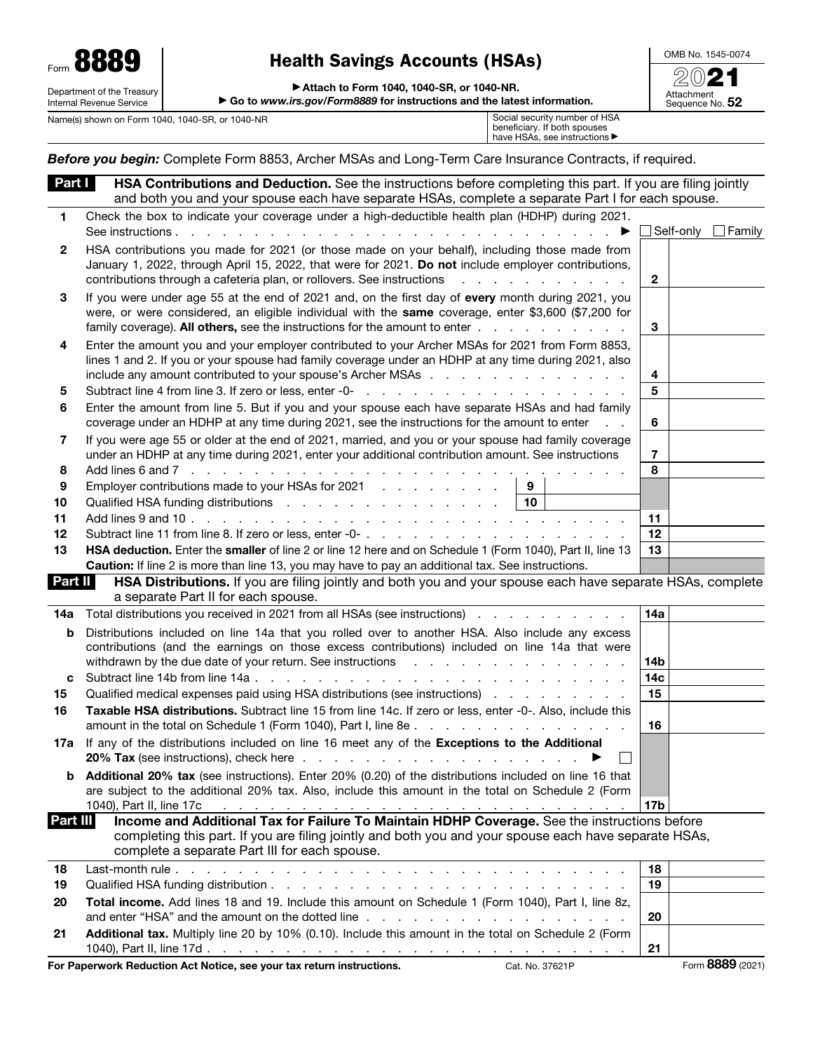| Form $\bullet$             | 001<br>Ω                 |  |  |  |
|----------------------------|--------------------------|--|--|--|
| Department of the Treasury |                          |  |  |  |
|                            | Internal Revenue Service |  |  |  |

# **For B 2021**<br> **Form 88881 Extern 88881 Health Savings Accounts (HSAs)**<br> **Form 1040, 1040-SR, or 1040-NR.**

OMB No. 1545-0074

Attachment Sequence No. 52

| ► Attach to Form 1040, 1040-SR, or 1040-NR. |  |  |
|---------------------------------------------|--|--|
|                                             |  |  |

▶ Go to *www.irs.gov/Form8889* for instructions and the latest information.

Name(s) shown on Form 1040, 1040-SR, or 1040-NR

| Social security number of HSA                     |
|---------------------------------------------------|
| beneficiary. If both spouses                      |
| have HSAs, see instructions $\blacktriangleright$ |

*Before you begin:* Complete Form 8853, Archer MSAs and Long-Term Care Insurance Contracts, if required.

| Part I   | HSA Contributions and Deduction. See the instructions before completing this part. If you are filing jointly                                                                                                                                |                        |               |
|----------|---------------------------------------------------------------------------------------------------------------------------------------------------------------------------------------------------------------------------------------------|------------------------|---------------|
|          | and both you and your spouse each have separate HSAs, complete a separate Part I for each spouse.                                                                                                                                           |                        |               |
| 1        | Check the box to indicate your coverage under a high-deductible health plan (HDHP) during 2021.                                                                                                                                             |                        |               |
|          | See instructions<br>and the contract of the contract of the contract of the contract of the contract of<br>▶                                                                                                                                | $\Box$ Self-only       | $\Box$ Family |
| 2        | HSA contributions you made for 2021 (or those made on your behalf), including those made from<br>January 1, 2022, through April 15, 2022, that were for 2021. Do not include employer contributions,                                        |                        |               |
|          | contributions through a cafeteria plan, or rollovers. See instructions<br>a carrier and a carrier and a                                                                                                                                     | $\mathbf{2}$           |               |
| 3        | If you were under age 55 at the end of 2021 and, on the first day of every month during 2021, you                                                                                                                                           |                        |               |
|          | were, or were considered, an eligible individual with the same coverage, enter \$3,600 (\$7,200 for                                                                                                                                         |                        |               |
|          | family coverage). All others, see the instructions for the amount to enter                                                                                                                                                                  | 3                      |               |
| 4        | Enter the amount you and your employer contributed to your Archer MSAs for 2021 from Form 8853,                                                                                                                                             |                        |               |
|          | lines 1 and 2. If you or your spouse had family coverage under an HDHP at any time during 2021, also                                                                                                                                        |                        |               |
|          | include any amount contributed to your spouse's Archer MSAs                                                                                                                                                                                 | 4                      |               |
| 5        |                                                                                                                                                                                                                                             | 5                      |               |
| 6        | Enter the amount from line 5. But if you and your spouse each have separate HSAs and had family<br>coverage under an HDHP at any time during 2021, see the instructions for the amount to enter                                             | 6                      |               |
| 7        | If you were age 55 or older at the end of 2021, married, and you or your spouse had family coverage                                                                                                                                         |                        |               |
|          | under an HDHP at any time during 2021, enter your additional contribution amount. See instructions                                                                                                                                          | $\overline{7}$         |               |
| 8        | Add lines 6 and 7 $\ldots$ $\ldots$ $\ldots$ $\ldots$ $\ldots$ $\ldots$ $\ldots$                                                                                                                                                            | 8                      |               |
| 9        | Employer contributions made to your HSAs for 2021<br>9                                                                                                                                                                                      |                        |               |
| 10       | 10<br>Qualified HSA funding distributions                                                                                                                                                                                                   |                        |               |
| 11       |                                                                                                                                                                                                                                             | 11                     |               |
| 12       |                                                                                                                                                                                                                                             | 12                     |               |
| 13       | HSA deduction. Enter the smaller of line 2 or line 12 here and on Schedule 1 (Form 1040), Part II, line 13                                                                                                                                  | 13                     |               |
|          | Caution: If line 2 is more than line 13, you may have to pay an additional tax. See instructions.                                                                                                                                           |                        |               |
| Part II  | HSA Distributions. If you are filing jointly and both you and your spouse each have separate HSAs, complete<br>a separate Part II for each spouse.                                                                                          |                        |               |
| 14a      | Total distributions you received in 2021 from all HSAs (see instructions) entertainment of the state of the state of the state of the state of the state of the state of the state of the state of the state of the state of t              | 14a                    |               |
| b        | Distributions included on line 14a that you rolled over to another HSA. Also include any excess                                                                                                                                             |                        |               |
|          | contributions (and the earnings on those excess contributions) included on line 14a that were                                                                                                                                               |                        |               |
|          | withdrawn by the due date of your return. See instructions returns and returns of the contract of the due to define the instance of the due to define the due to define the due to define the instance of the due to define th              | 14b<br>14 <sub>c</sub> |               |
| c<br>15  | Qualified medical expenses paid using HSA distributions (see instructions)                                                                                                                                                                  | 15                     |               |
| 16       | Taxable HSA distributions. Subtract line 15 from line 14c. If zero or less, enter -0-. Also, include this                                                                                                                                   |                        |               |
|          |                                                                                                                                                                                                                                             | 16                     |               |
| 17a      | If any of the distributions included on line 16 meet any of the Exceptions to the Additional                                                                                                                                                |                        |               |
|          |                                                                                                                                                                                                                                             |                        |               |
| b        | Additional 20% tax (see instructions). Enter 20% (0.20) of the distributions included on line 16 that                                                                                                                                       |                        |               |
|          | are subject to the additional 20% tax. Also, include this amount in the total on Schedule 2 (Form                                                                                                                                           |                        |               |
| Part III | 1040), Part II, line 17c<br>the contract of the contract of the contract of the contract of the contract of the contract of the contract of<br>Income and Additional Tax for Failure To Maintain HDHP Coverage. See the instructions before | 17b                    |               |
|          | completing this part. If you are filing jointly and both you and your spouse each have separate HSAs,                                                                                                                                       |                        |               |
|          | complete a separate Part III for each spouse.                                                                                                                                                                                               |                        |               |
| 18       |                                                                                                                                                                                                                                             | 18                     |               |
| 19       |                                                                                                                                                                                                                                             | 19                     |               |
|          |                                                                                                                                                                                                                                             |                        |               |
| 20       | Total income. Add lines 18 and 19. Include this amount on Schedule 1 (Form 1040), Part I, line 8z,                                                                                                                                          |                        |               |
|          | and enter "HSA" and the amount on the dotted line enter the state of the state of the state of the state of the state of the state of the state of the state of the state of the state of the state of the state of the state               | 20                     |               |
| 21       | Additional tax. Multiply line 20 by 10% (0.10). Include this amount in the total on Schedule 2 (Form                                                                                                                                        | 21                     |               |

For Paperwork Reduction Act Notice, see your tax return instructions. Cat. No. 37621P Form 8889 (2021)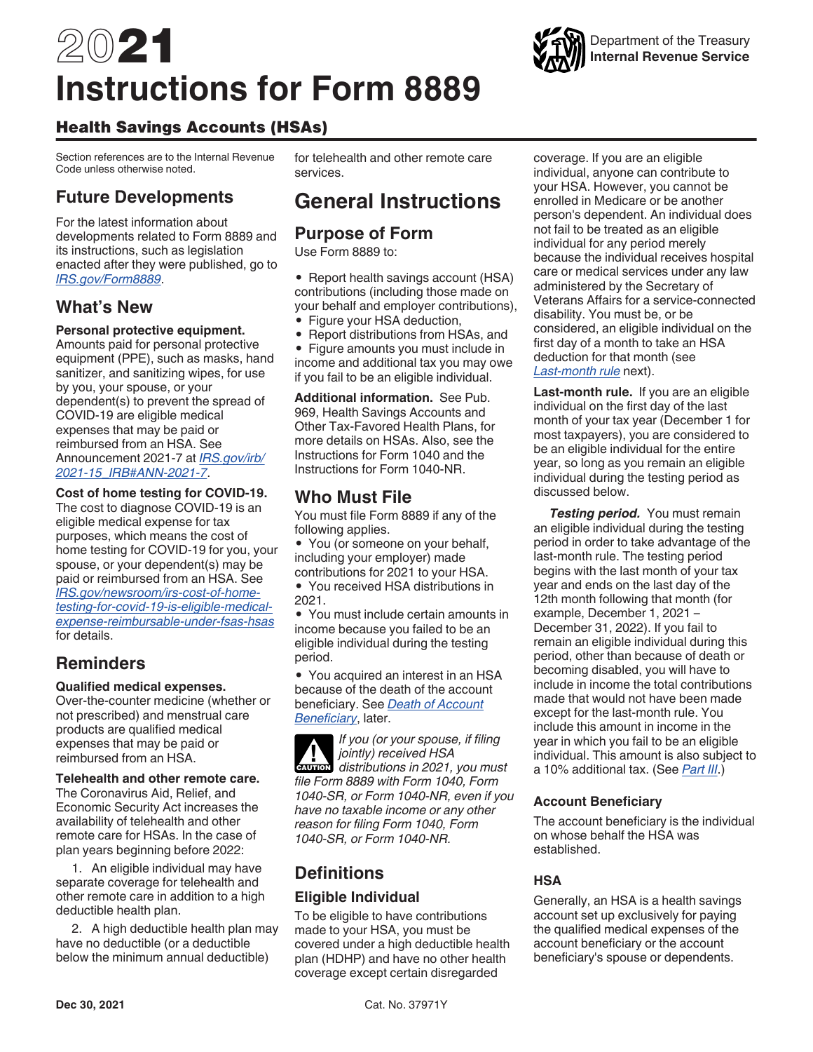# 2021 **Instructions for Form 8889**

## Health Savings Accounts (HSAs)

Section references are to the Internal Revenue Code unless otherwise noted.

## **Future Developments**

For the latest information about developments related to Form 8889 and its instructions, such as legislation enacted after they were published, go to *[IRS.gov/Form8889](https://www.irs.gov/form8889)*.

## **What's New**

#### **Personal protective equipment.**

Amounts paid for personal protective equipment (PPE), such as masks, hand sanitizer, and sanitizing wipes, for use by you, your spouse, or your dependent(s) to prevent the spread of COVID-19 are eligible medical expenses that may be paid or reimbursed from an HSA. See Announcement 2021-7 at *[IRS.gov/irb/](https://www.irs.gov/irb/2021-15_IRB#ANN-2021-7>IRS.gov/irb/2021-15_IRB#ANN-2021-7) [2021-15\\_IRB#ANN-2021-7](https://www.irs.gov/irb/2021-15_IRB#ANN-2021-7>IRS.gov/irb/2021-15_IRB#ANN-2021-7)*.

#### **Cost of home testing for COVID-19.**

The cost to diagnose COVID-19 is an eligible medical expense for tax purposes, which means the cost of home testing for COVID-19 for you, your spouse, or your dependent(s) may be paid or reimbursed from an HSA. See *[IRS.gov/newsroom/irs-cost-of-home](https://www.irs.gov/newsroom/irs-cost-of-home-testing-for-covid-19-is-eligible-medical-expense-reimbursable-under-fsas-hsas)[testing-for-covid-19-is-eligible-medical](https://www.irs.gov/newsroom/irs-cost-of-home-testing-for-covid-19-is-eligible-medical-expense-reimbursable-under-fsas-hsas)[expense-reimbursable-under-fsas-hsas](https://www.irs.gov/newsroom/irs-cost-of-home-testing-for-covid-19-is-eligible-medical-expense-reimbursable-under-fsas-hsas)*  for details.

## **Reminders**

#### **Qualified medical expenses.**

Over-the-counter medicine (whether or not prescribed) and menstrual care products are qualified medical expenses that may be paid or reimbursed from an HSA.

#### **Telehealth and other remote care.**

The Coronavirus Aid, Relief, and Economic Security Act increases the availability of telehealth and other remote care for HSAs. In the case of plan years beginning before 2022:

1. An eligible individual may have separate coverage for telehealth and other remote care in addition to a high deductible health plan.

2. A high deductible health plan may have no deductible (or a deductible below the minimum annual deductible)

for telehealth and other remote care services.

## **General Instructions**

## **Purpose of Form**

Use Form 8889 to:

• Report health savings account (HSA) contributions (including those made on your behalf and employer contributions), • Figure your HSA deduction,

• Report distributions from HSAs, and

• Figure amounts you must include in income and additional tax you may owe if you fail to be an eligible individual.

**Additional information.** See Pub. 969, Health Savings Accounts and Other Tax-Favored Health Plans, for more details on HSAs. Also, see the Instructions for Form 1040 and the Instructions for Form 1040-NR.

## **Who Must File**

You must file Form 8889 if any of the following applies.

• You (or someone on your behalf, including your employer) made contributions for 2021 to your HSA.

• You received HSA distributions in 2021.

• You must include certain amounts in income because you failed to be an eligible individual during the testing period.

• You acquired an interest in an HSA because of the death of the account beneficiary. See *Death of Account Beneficiary*, later.

*If you (or your spouse, if filing jointly) received HSA distributions in 2021, you must file Form 8889 with Form 1040, Form 1040-SR, or Form 1040-NR, even if you have no taxable income or any other reason for filing Form 1040, Form 1040-SR, or Form 1040-NR.* **CAUTION !**

## **Definitions**

### **Eligible Individual**

To be eligible to have contributions made to your HSA, you must be covered under a high deductible health plan (HDHP) and have no other health coverage except certain disregarded

coverage. If you are an eligible individual, anyone can contribute to your HSA. However, you cannot be enrolled in Medicare or be another person's dependent. An individual does not fail to be treated as an eligible individual for any period merely because the individual receives hospital care or medical services under any law administered by the Secretary of Veterans Affairs for a service-connected disability. You must be, or be considered, an eligible individual on the first day of a month to take an HSA deduction for that month (see *Last-month rule* next).

**Last-month rule.** If you are an eligible individual on the first day of the last month of your tax year (December 1 for most taxpayers), you are considered to be an eligible individual for the entire year, so long as you remain an eligible individual during the testing period as discussed below.

**Testing period.** You must remain an eligible individual during the testing period in order to take advantage of the last-month rule. The testing period begins with the last month of your tax year and ends on the last day of the 12th month following that month (for example, December 1, 2021 – December 31, 2022). If you fail to remain an eligible individual during this period, other than because of death or becoming disabled, you will have to include in income the total contributions made that would not have been made except for the last-month rule. You include this amount in income in the year in which you fail to be an eligible individual. This amount is also subject to a 10% additional tax. (See *Part III*.)

#### **Account Beneficiary**

The account beneficiary is the individual on whose behalf the HSA was established.

#### **HSA**

Generally, an HSA is a health savings account set up exclusively for paying the qualified medical expenses of the account beneficiary or the account beneficiary's spouse or dependents.

Department of the Treasury **Internal Revenue Service**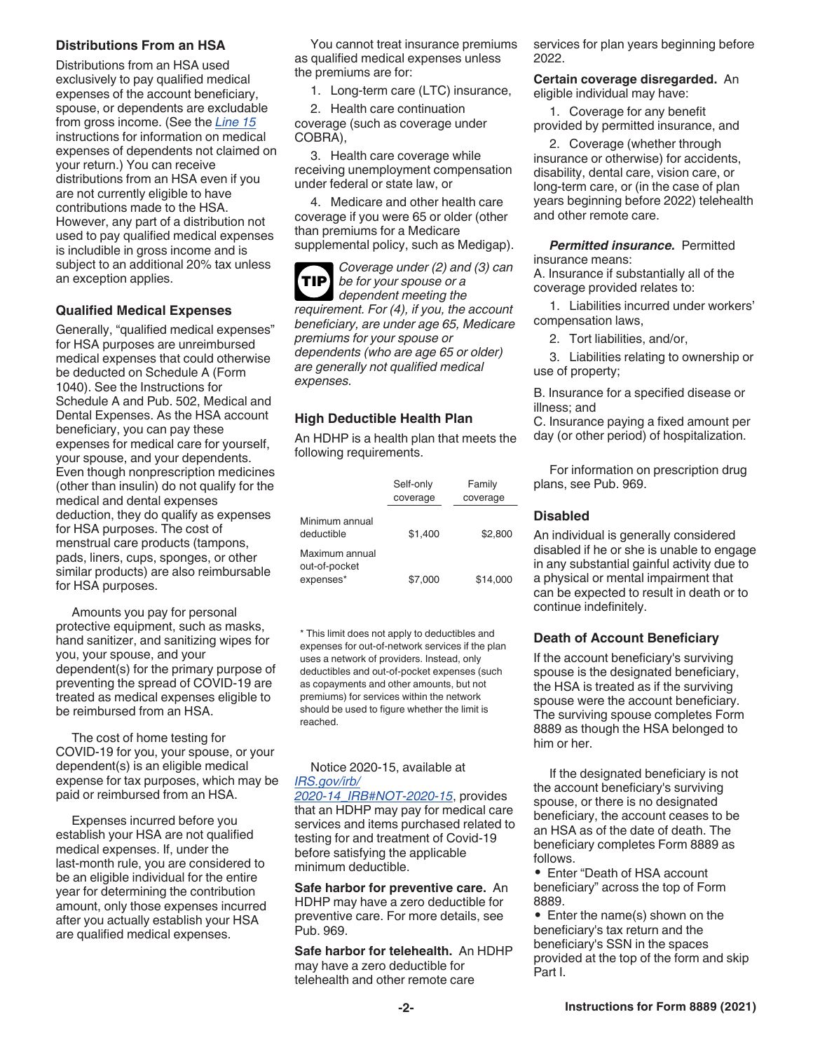#### **Distributions From an HSA**

Distributions from an HSA used exclusively to pay qualified medical expenses of the account beneficiary, spouse, or dependents are excludable from gross income. (See the *Line 15*  instructions for information on medical expenses of dependents not claimed on your return.) You can receive distributions from an HSA even if you are not currently eligible to have contributions made to the HSA. However, any part of a distribution not used to pay qualified medical expenses is includible in gross income and is subject to an additional 20% tax unless an exception applies.

#### **Qualified Medical Expenses**

Generally, "qualified medical expenses" for HSA purposes are unreimbursed medical expenses that could otherwise be deducted on Schedule A (Form 1040). See the Instructions for Schedule A and Pub. 502, Medical and Dental Expenses. As the HSA account beneficiary, you can pay these expenses for medical care for yourself, your spouse, and your dependents. Even though nonprescription medicines (other than insulin) do not qualify for the medical and dental expenses deduction, they do qualify as expenses for HSA purposes. The cost of menstrual care products (tampons, pads, liners, cups, sponges, or other similar products) are also reimbursable for HSA purposes.

Amounts you pay for personal protective equipment, such as masks, hand sanitizer, and sanitizing wipes for you, your spouse, and your dependent(s) for the primary purpose of preventing the spread of COVID-19 are treated as medical expenses eligible to be reimbursed from an HSA.

The cost of home testing for COVID-19 for you, your spouse, or your dependent(s) is an eligible medical expense for tax purposes, which may be paid or reimbursed from an HSA.

Expenses incurred before you establish your HSA are not qualified medical expenses. If, under the last-month rule, you are considered to be an eligible individual for the entire year for determining the contribution amount, only those expenses incurred after you actually establish your HSA are qualified medical expenses.

You cannot treat insurance premiums as qualified medical expenses unless the premiums are for:

1. Long-term care (LTC) insurance,

2. Health care continuation coverage (such as coverage under COBRA),

3. Health care coverage while receiving unemployment compensation under federal or state law, or

4. Medicare and other health care coverage if you were 65 or older (other than premiums for a Medicare supplemental policy, such as Medigap).

**TIP**

*Coverage under (2) and (3) can be for your spouse or a* 

*dependent meeting the requirement. For (4), if you, the account beneficiary, are under age 65, Medicare premiums for your spouse or dependents (who are age 65 or older) are generally not qualified medical expenses.*

#### **High Deductible Health Plan**

An HDHP is a health plan that meets the following requirements.

|                                              | Self-only<br>coverage | Family<br>coverage |
|----------------------------------------------|-----------------------|--------------------|
| Minimum annual<br>deductible                 | \$1.400               | \$2,800            |
| Maximum annual<br>out-of-pocket<br>expenses* | \$7,000               | \$14,000           |

\* This limit does not apply to deductibles and expenses for out-of-network services if the plan uses a network of providers. Instead, only deductibles and out-of-pocket expenses (such as copayments and other amounts, but not premiums) for services within the network should be used to figure whether the limit is reached.

#### Notice 2020-15, available at *[IRS.gov/irb/](https://www.irs.gov/irb/2020-14_IRB#NOT-2020-15) [2020-14\\_IRB#NOT-2020-15](https://www.irs.gov/irb/2020-14_IRB#NOT-2020-15)*, provides that an HDHP may pay for medical care

services and items purchased related to testing for and treatment of Covid-19 before satisfying the applicable minimum deductible.

**Safe harbor for preventive care.** An HDHP may have a zero deductible for preventive care. For more details, see Pub. 969.

**Safe harbor for telehealth.** An HDHP may have a zero deductible for telehealth and other remote care

services for plan years beginning before 2022.

**Certain coverage disregarded.** An eligible individual may have:

1. Coverage for any benefit provided by permitted insurance, and

2. Coverage (whether through insurance or otherwise) for accidents, disability, dental care, vision care, or long-term care, or (in the case of plan years beginning before 2022) telehealth and other remote care.

**Permitted insurance.** Permitted insurance means:

A. Insurance if substantially all of the coverage provided relates to:

1. Liabilities incurred under workers' compensation laws,

2. Tort liabilities, and/or,

3. Liabilities relating to ownership or use of property;

B. Insurance for a specified disease or illness; and

C. Insurance paying a fixed amount per day (or other period) of hospitalization.

For information on prescription drug plans, see Pub. 969.

#### **Disabled**

An individual is generally considered disabled if he or she is unable to engage in any substantial gainful activity due to a physical or mental impairment that can be expected to result in death or to continue indefinitely.

#### **Death of Account Beneficiary**

If the account beneficiary's surviving spouse is the designated beneficiary, the HSA is treated as if the surviving spouse were the account beneficiary. The surviving spouse completes Form 8889 as though the HSA belonged to him or her.

If the designated beneficiary is not the account beneficiary's surviving spouse, or there is no designated beneficiary, the account ceases to be an HSA as of the date of death. The beneficiary completes Form 8889 as follows.

• Enter "Death of HSA account beneficiary" across the top of Form 8889.

• Enter the name(s) shown on the beneficiary's tax return and the beneficiary's SSN in the spaces provided at the top of the form and skip Part I.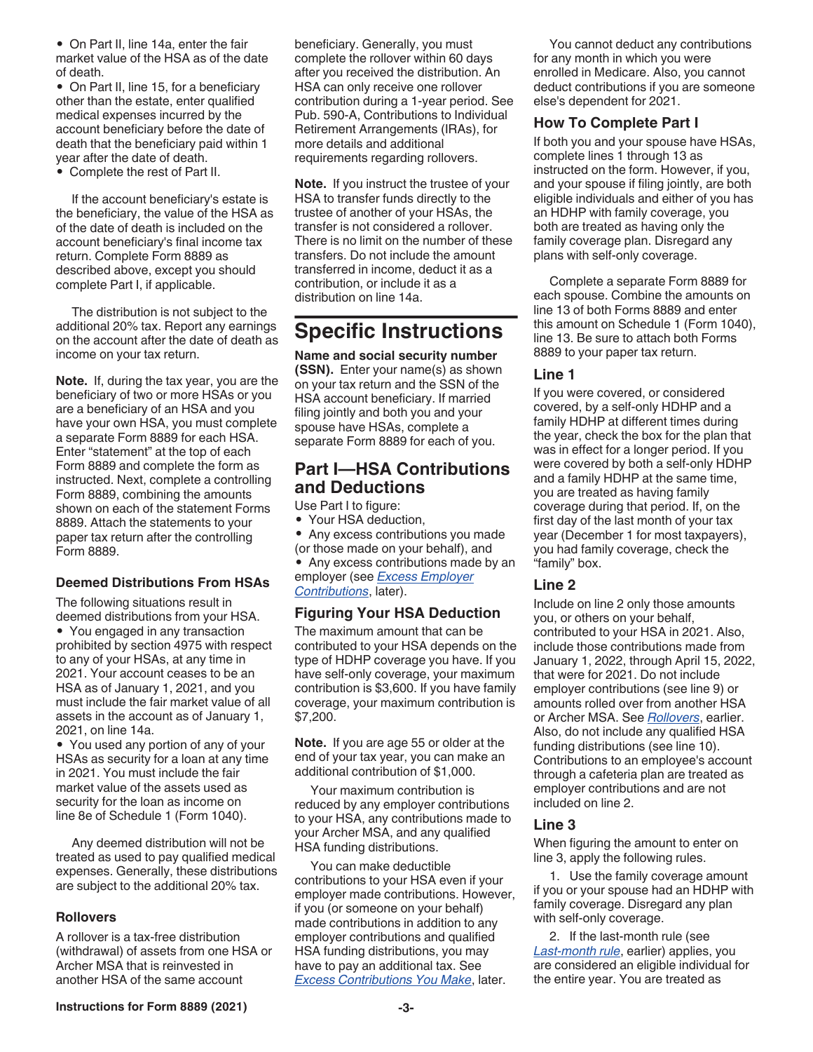• On Part II, line 14a, enter the fair market value of the HSA as of the date of death.

• On Part II, line 15, for a beneficiary other than the estate, enter qualified medical expenses incurred by the account beneficiary before the date of death that the beneficiary paid within 1 year after the date of death.

• Complete the rest of Part II.

If the account beneficiary's estate is the beneficiary, the value of the HSA as of the date of death is included on the account beneficiary's final income tax return. Complete Form 8889 as described above, except you should complete Part I, if applicable.

The distribution is not subject to the additional 20% tax. Report any earnings on the account after the date of death as income on your tax return.

**Note.** If, during the tax year, you are the beneficiary of two or more HSAs or you are a beneficiary of an HSA and you have your own HSA, you must complete a separate Form 8889 for each HSA. Enter "statement" at the top of each Form 8889 and complete the form as instructed. Next, complete a controlling Form 8889, combining the amounts shown on each of the statement Forms 8889. Attach the statements to your paper tax return after the controlling Form 8889.

#### **Deemed Distributions From HSAs**

The following situations result in deemed distributions from your HSA. • You engaged in any transaction prohibited by section 4975 with respect to any of your HSAs, at any time in 2021. Your account ceases to be an HSA as of January 1, 2021, and you must include the fair market value of all assets in the account as of January 1, 2021, on line 14a.

• You used any portion of any of your HSAs as security for a loan at any time in 2021. You must include the fair market value of the assets used as security for the loan as income on line 8e of Schedule 1 (Form 1040).

Any deemed distribution will not be treated as used to pay qualified medical expenses. Generally, these distributions are subject to the additional 20% tax.

#### **Rollovers**

A rollover is a tax-free distribution (withdrawal) of assets from one HSA or Archer MSA that is reinvested in another HSA of the same account

beneficiary. Generally, you must complete the rollover within 60 days after you received the distribution. An HSA can only receive one rollover contribution during a 1-year period. See Pub. 590-A, Contributions to Individual Retirement Arrangements (IRAs), for more details and additional requirements regarding rollovers.

**Note.** If you instruct the trustee of your HSA to transfer funds directly to the trustee of another of your HSAs, the transfer is not considered a rollover. There is no limit on the number of these transfers. Do not include the amount transferred in income, deduct it as a contribution, or include it as a distribution on line 14a.

## **Specific Instructions**

**Name and social security number (SSN).** Enter your name(s) as shown on your tax return and the SSN of the HSA account beneficiary. If married filing jointly and both you and your spouse have HSAs, complete a separate Form 8889 for each of you.

## **Part I—HSA Contributions and Deductions**

Use Part I to figure:

• Your HSA deduction,

• Any excess contributions you made (or those made on your behalf), and

• Any excess contributions made by an employer (see *Excess Employer Contributions*, later).

#### **Figuring Your HSA Deduction**

The maximum amount that can be contributed to your HSA depends on the type of HDHP coverage you have. If you have self-only coverage, your maximum contribution is \$3,600. If you have family coverage, your maximum contribution is \$7,200.

**Note.** If you are age 55 or older at the end of your tax year, you can make an additional contribution of \$1,000.

Your maximum contribution is reduced by any employer contributions to your HSA, any contributions made to your Archer MSA, and any qualified HSA funding distributions.

You can make deductible contributions to your HSA even if your employer made contributions. However, if you (or someone on your behalf) made contributions in addition to any employer contributions and qualified HSA funding distributions, you may have to pay an additional tax. See *Excess Contributions You Make*, later.

You cannot deduct any contributions for any month in which you were enrolled in Medicare. Also, you cannot deduct contributions if you are someone else's dependent for 2021.

#### **How To Complete Part I**

If both you and your spouse have HSAs, complete lines 1 through 13 as instructed on the form. However, if you, and your spouse if filing jointly, are both eligible individuals and either of you has an HDHP with family coverage, you both are treated as having only the family coverage plan. Disregard any plans with self-only coverage.

Complete a separate Form 8889 for each spouse. Combine the amounts on line 13 of both Forms 8889 and enter this amount on Schedule 1 (Form 1040), line 13. Be sure to attach both Forms 8889 to your paper tax return.

#### **Line 1**

If you were covered, or considered covered, by a self-only HDHP and a family HDHP at different times during the year, check the box for the plan that was in effect for a longer period. If you were covered by both a self-only HDHP and a family HDHP at the same time, you are treated as having family coverage during that period. If, on the first day of the last month of your tax year (December 1 for most taxpayers), you had family coverage, check the "family" box.

#### **Line 2**

Include on line 2 only those amounts you, or others on your behalf, contributed to your HSA in 2021. Also, include those contributions made from January 1, 2022, through April 15, 2022, that were for 2021. Do not include employer contributions (see line 9) or amounts rolled over from another HSA or Archer MSA. See *Rollovers*, earlier. Also, do not include any qualified HSA funding distributions (see line 10). Contributions to an employee's account through a cafeteria plan are treated as employer contributions and are not included on line 2.

#### **Line 3**

When figuring the amount to enter on line 3, apply the following rules.

1. Use the family coverage amount if you or your spouse had an HDHP with family coverage. Disregard any plan with self-only coverage.

2. If the last-month rule (see *Last-month rule*, earlier) applies, you are considered an eligible individual for the entire year. You are treated as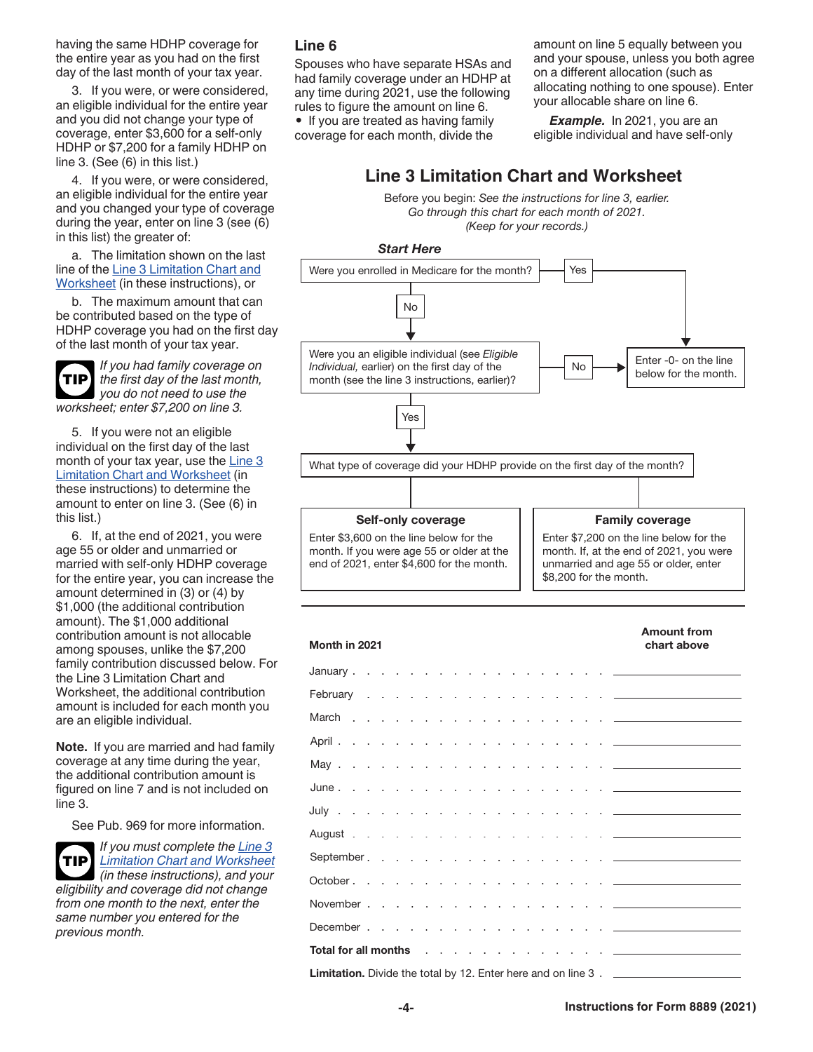having the same HDHP coverage for the entire year as you had on the first day of the last month of your tax year.

3. If you were, or were considered, an eligible individual for the entire year and you did not change your type of coverage, enter \$3,600 for a self-only HDHP or \$7,200 for a family HDHP on line 3. (See (6) in this list.)

4. If you were, or were considered, an eligible individual for the entire year and you changed your type of coverage during the year, enter on line 3 (see (6) in this list) the greater of:

a. The limitation shown on the last line of the Line 3 Limitation Chart and Worksheet (in these instructions), or

b. The maximum amount that can be contributed based on the type of HDHP coverage you had on the first day of the last month of your tax year.

*If you had family coverage on the first day of the last month, you do not need to use the worksheet; enter \$7,200 on line 3.* **TIP**

5. If you were not an eligible individual on the first day of the last month of your tax year, use the Line 3 Limitation Chart and Worksheet (in these instructions) to determine the amount to enter on line 3. (See (6) in this list.)

6. If, at the end of 2021, you were age 55 or older and unmarried or married with self-only HDHP coverage for the entire year, you can increase the amount determined in (3) or (4) by \$1,000 (the additional contribution amount). The \$1,000 additional contribution amount is not allocable among spouses, unlike the \$7,200 family contribution discussed below. For the Line 3 Limitation Chart and Worksheet, the additional contribution amount is included for each month you are an eligible individual.

**Note.** If you are married and had family coverage at any time during the year, the additional contribution amount is figured on line 7 and is not included on line 3.

See Pub. 969 for more information.



*If you must complete the Line 3 Limitation Chart and Worksheet (in these instructions), and your eligibility and coverage did not change* 

*from one month to the next, enter the same number you entered for the previous month.*

#### **Line 6**

Spouses who have separate HSAs and had family coverage under an HDHP at any time during 2021, use the following rules to figure the amount on line 6.

• If you are treated as having family coverage for each month, divide the amount on line 5 equally between you and your spouse, unless you both agree on a different allocation (such as allocating nothing to one spouse). Enter your allocable share on line 6.

*Example.* In 2021, you are an eligible individual and have self-only

## **Line 3 Limitation Chart and Worksheet**

Before you begin: *See the instructions for line 3, earlier. Go through this chart for each month of 2021. (Keep for your records.)*



| <b>Amount from</b><br>Month in 2021<br>chart above                                                                                                                                                                                  |  |  |  |  |  |  |  |
|-------------------------------------------------------------------------------------------------------------------------------------------------------------------------------------------------------------------------------------|--|--|--|--|--|--|--|
|                                                                                                                                                                                                                                     |  |  |  |  |  |  |  |
|                                                                                                                                                                                                                                     |  |  |  |  |  |  |  |
|                                                                                                                                                                                                                                     |  |  |  |  |  |  |  |
| April <u>.</u>                                                                                                                                                                                                                      |  |  |  |  |  |  |  |
|                                                                                                                                                                                                                                     |  |  |  |  |  |  |  |
| June <u>.</u>                                                                                                                                                                                                                       |  |  |  |  |  |  |  |
|                                                                                                                                                                                                                                     |  |  |  |  |  |  |  |
|                                                                                                                                                                                                                                     |  |  |  |  |  |  |  |
|                                                                                                                                                                                                                                     |  |  |  |  |  |  |  |
|                                                                                                                                                                                                                                     |  |  |  |  |  |  |  |
|                                                                                                                                                                                                                                     |  |  |  |  |  |  |  |
|                                                                                                                                                                                                                                     |  |  |  |  |  |  |  |
| <b>Total for all months</b> and a series and a series are a series and a series are a series and a series of the series of the series of the series of the series of the series of the series of the series of the series of the se |  |  |  |  |  |  |  |
| <b>Limitation.</b> Divide the total by 12. Enter here and on line 3. _________________                                                                                                                                              |  |  |  |  |  |  |  |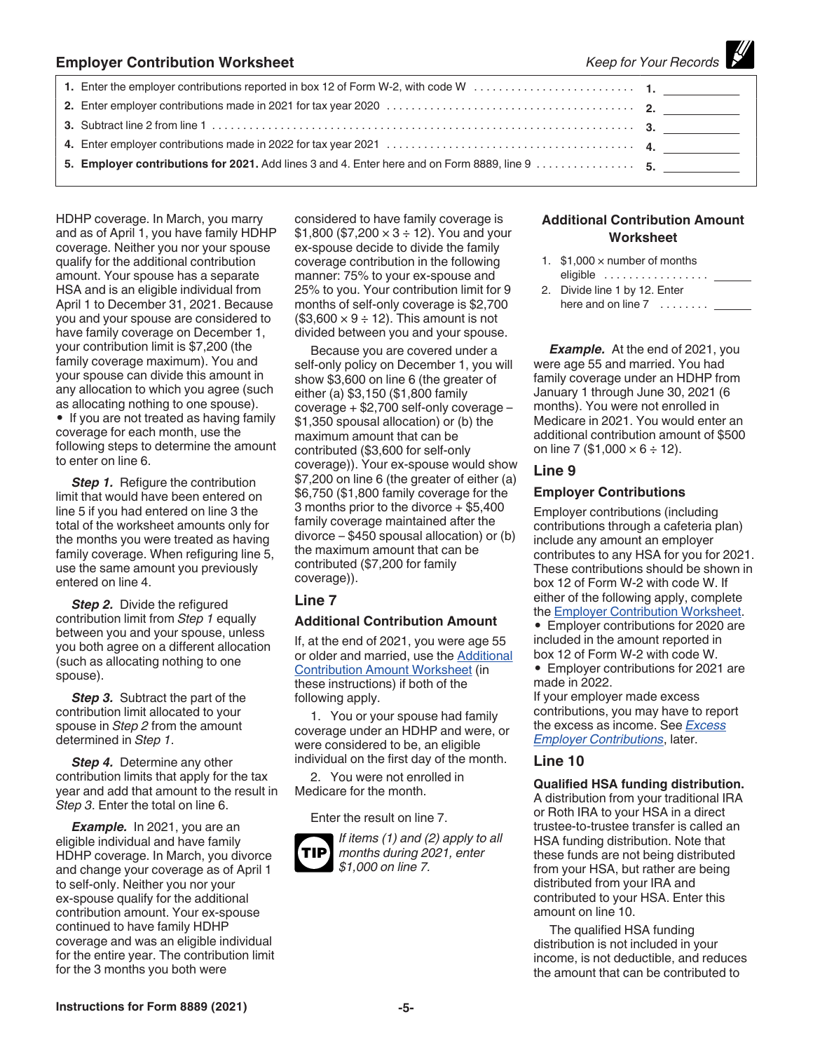| <b>Employer Contribution Worksheet</b> |                                                                                               | Keep for Your Records |  |
|----------------------------------------|-----------------------------------------------------------------------------------------------|-----------------------|--|
|                                        |                                                                                               |                       |  |
|                                        |                                                                                               |                       |  |
|                                        |                                                                                               |                       |  |
|                                        |                                                                                               |                       |  |
|                                        | 5. Employer contributions for 2021. Add lines 3 and 4. Enter here and on Form 8889, line 9 5. |                       |  |

HDHP coverage. In March, you marry and as of April 1, you have family HDHP coverage. Neither you nor your spouse qualify for the additional contribution amount. Your spouse has a separate HSA and is an eligible individual from April 1 to December 31, 2021. Because you and your spouse are considered to have family coverage on December 1, your contribution limit is \$7,200 (the family coverage maximum). You and your spouse can divide this amount in any allocation to which you agree (such as allocating nothing to one spouse). • If you are not treated as having family coverage for each month, use the following steps to determine the amount to enter on line 6.

**Step 1.** Refigure the contribution limit that would have been entered on line 5 if you had entered on line 3 the total of the worksheet amounts only for the months you were treated as having family coverage. When refiguring line 5, use the same amount you previously entered on line 4.

**Step 2.** Divide the refigured contribution limit from *Step 1* equally between you and your spouse, unless you both agree on a different allocation (such as allocating nothing to one spouse).

**Step 3.** Subtract the part of the contribution limit allocated to your spouse in *Step 2* from the amount determined in *Step 1*.

*Step 4.* Determine any other contribution limits that apply for the tax year and add that amount to the result in *Step 3*. Enter the total on line 6.

*Example.* In 2021, you are an eligible individual and have family HDHP coverage. In March, you divorce and change your coverage as of April 1 to self-only. Neither you nor your ex-spouse qualify for the additional contribution amount. Your ex-spouse continued to have family HDHP coverage and was an eligible individual for the entire year. The contribution limit for the 3 months you both were

considered to have family coverage is  $$1,800 ($7,200 \times 3 ÷ 12)$ . You and your ex-spouse decide to divide the family coverage contribution in the following manner: 75% to your ex-spouse and 25% to you. Your contribution limit for 9 months of self-only coverage is \$2,700  $($3,600 \times 9 \div 12)$ . This amount is not divided between you and your spouse.

Because you are covered under a self-only policy on December 1, you will show \$3,600 on line 6 (the greater of either (a) \$3,150 (\$1,800 family coverage + \$2,700 self-only coverage – \$1,350 spousal allocation) or (b) the maximum amount that can be contributed (\$3,600 for self-only coverage)). Your ex-spouse would show \$7,200 on line 6 (the greater of either (a) \$6,750 (\$1,800 family coverage for the 3 months prior to the divorce + \$5,400 family coverage maintained after the divorce – \$450 spousal allocation) or (b) the maximum amount that can be contributed (\$7,200 for family coverage)).

#### **Line 7**

#### **Additional Contribution Amount**

If, at the end of 2021, you were age 55 or older and married, use the Additional Contribution Amount Worksheet (in these instructions) if both of the following apply.

1. You or your spouse had family coverage under an HDHP and were, or were considered to be, an eligible individual on the first day of the month.

2. You were not enrolled in Medicare for the month.

Enter the result on line 7.



*If items (1) and (2) apply to all months during 2021, enter \$1,000 on line 7.*

#### **Additional Contribution Amount Worksheet**

*— 1111* 

- 1.  $$1,000 \times$  number of months eligible .................
- 2. Divide line 1 by 12. Enter here and on line 7 ........

*Example.* At the end of 2021, you were age 55 and married. You had family coverage under an HDHP from January 1 through June 30, 2021 (6 months). You were not enrolled in Medicare in 2021. You would enter an additional contribution amount of \$500 on line 7 (\$1,000  $\times$  6 ÷ 12).

#### **Line 9**

#### **Employer Contributions**

Employer contributions (including contributions through a cafeteria plan) include any amount an employer contributes to any HSA for you for 2021. These contributions should be shown in box 12 of Form W-2 with code W. If either of the following apply, complete the Employer Contribution Worksheet.

• Employer contributions for 2020 are included in the amount reported in box 12 of Form W-2 with code W.

• Employer contributions for 2021 are made in 2022.

If your employer made excess contributions, you may have to report the excess as income. See *Excess Employer Contributions*, later.

#### **Line 10**

#### **Qualified HSA funding distribution.**

A distribution from your traditional IRA or Roth IRA to your HSA in a direct trustee-to-trustee transfer is called an HSA funding distribution. Note that these funds are not being distributed from your HSA, but rather are being distributed from your IRA and contributed to your HSA. Enter this amount on line 10.

The qualified HSA funding distribution is not included in your income, is not deductible, and reduces the amount that can be contributed to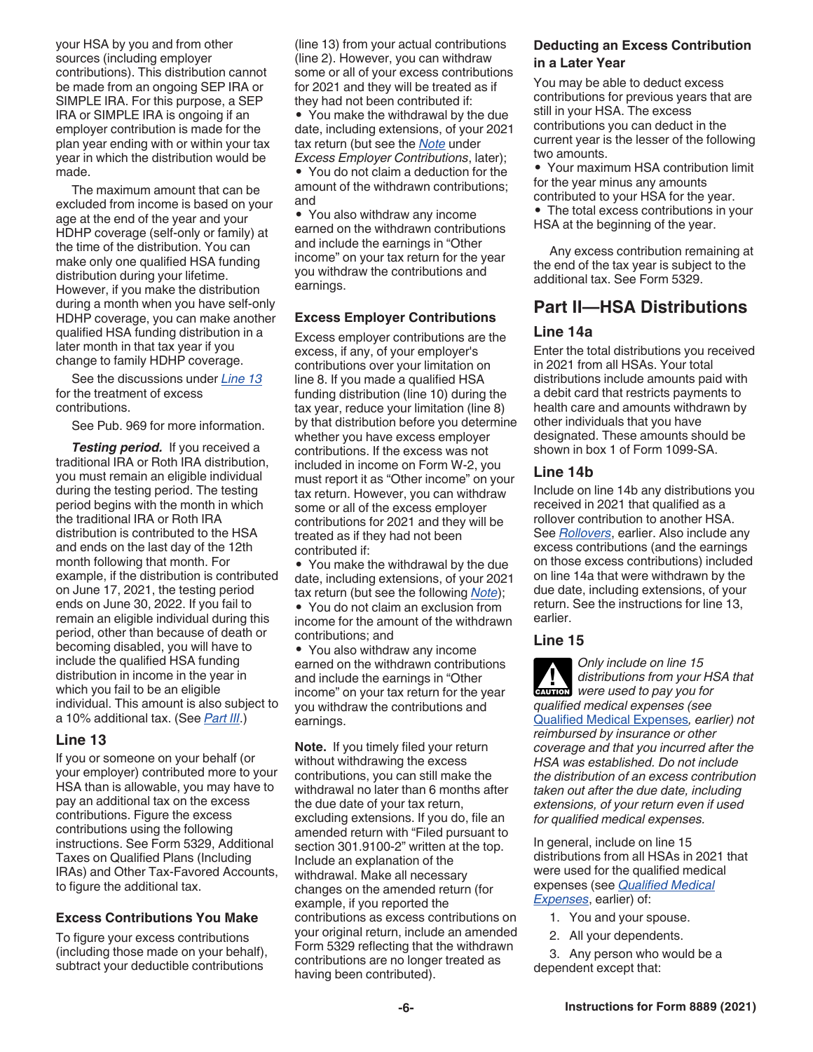your HSA by you and from other sources (including employer contributions). This distribution cannot be made from an ongoing SEP IRA or SIMPLE IRA. For this purpose, a SEP IRA or SIMPLE IRA is ongoing if an employer contribution is made for the plan year ending with or within your tax year in which the distribution would be made.

The maximum amount that can be excluded from income is based on your age at the end of the year and your HDHP coverage (self-only or family) at the time of the distribution. You can make only one qualified HSA funding distribution during your lifetime. However, if you make the distribution during a month when you have self-only HDHP coverage, you can make another qualified HSA funding distribution in a later month in that tax year if you change to family HDHP coverage.

See the discussions under *Line 13*  for the treatment of excess contributions.

See Pub. 969 for more information.

*Testing period.* If you received a traditional IRA or Roth IRA distribution, you must remain an eligible individual during the testing period. The testing period begins with the month in which the traditional IRA or Roth IRA distribution is contributed to the HSA and ends on the last day of the 12th month following that month. For example, if the distribution is contributed on June 17, 2021, the testing period ends on June 30, 2022. If you fail to remain an eligible individual during this period, other than because of death or becoming disabled, you will have to include the qualified HSA funding distribution in income in the year in which you fail to be an eligible individual. This amount is also subject to a 10% additional tax. (See *Part III*.)

#### **Line 13**

If you or someone on your behalf (or your employer) contributed more to your HSA than is allowable, you may have to pay an additional tax on the excess contributions. Figure the excess contributions using the following instructions. See Form 5329, Additional Taxes on Qualified Plans (Including IRAs) and Other Tax-Favored Accounts, to figure the additional tax.

#### **Excess Contributions You Make**

To figure your excess contributions (including those made on your behalf), subtract your deductible contributions

(line 13) from your actual contributions (line 2). However, you can withdraw some or all of your excess contributions for 2021 and they will be treated as if they had not been contributed if:

• You make the withdrawal by the due date, including extensions, of your 2021 tax return (but see the *Note* under *Excess Employer Contributions*, later);

• You do not claim a deduction for the amount of the withdrawn contributions; and

• You also withdraw any income earned on the withdrawn contributions and include the earnings in "Other income" on your tax return for the year you withdraw the contributions and earnings.

#### **Excess Employer Contributions**

Excess employer contributions are the excess, if any, of your employer's contributions over your limitation on line 8. If you made a qualified HSA funding distribution (line 10) during the tax year, reduce your limitation (line 8) by that distribution before you determine whether you have excess employer contributions. If the excess was not included in income on Form W-2, you must report it as "Other income" on your tax return. However, you can withdraw some or all of the excess employer contributions for 2021 and they will be treated as if they had not been contributed if:

• You make the withdrawal by the due date, including extensions, of your 2021 tax return (but see the following *Note*);

• You do not claim an exclusion from income for the amount of the withdrawn contributions; and

• You also withdraw any income earned on the withdrawn contributions and include the earnings in "Other income" on your tax return for the year you withdraw the contributions and earnings.

**Note.** If you timely filed your return without withdrawing the excess contributions, you can still make the withdrawal no later than 6 months after the due date of your tax return, excluding extensions. If you do, file an amended return with "Filed pursuant to section 301.9100-2" written at the top. Include an explanation of the withdrawal. Make all necessary changes on the amended return (for example, if you reported the contributions as excess contributions on your original return, include an amended Form 5329 reflecting that the withdrawn contributions are no longer treated as having been contributed).

#### **Deducting an Excess Contribution in a Later Year**

You may be able to deduct excess contributions for previous years that are still in your HSA. The excess contributions you can deduct in the current year is the lesser of the following two amounts.

• Your maximum HSA contribution limit for the year minus any amounts contributed to your HSA for the year.

• The total excess contributions in your HSA at the beginning of the year.

Any excess contribution remaining at the end of the tax year is subject to the additional tax. See Form 5329.

## **Part II—HSA Distributions**

#### **Line 14a**

Enter the total distributions you received in 2021 from all HSAs. Your total distributions include amounts paid with a debit card that restricts payments to health care and amounts withdrawn by other individuals that you have designated. These amounts should be shown in box 1 of Form 1099-SA.

#### **Line 14b**

Include on line 14b any distributions you received in 2021 that qualified as a rollover contribution to another HSA. See *Rollovers*, earlier. Also include any excess contributions (and the earnings on those excess contributions) included on line 14a that were withdrawn by the due date, including extensions, of your return. See the instructions for line 13, earlier.

#### **Line 15**

*Only include on line 15 distributions from your HSA that*  **CAUTION**<br> **CAUTION**<br> *Were used to pay you for qualified medical expenses (see*  Qualified Medical Expenses*, earlier) not reimbursed by insurance or other coverage and that you incurred after the HSA was established. Do not include the distribution of an excess contribution taken out after the due date, including extensions, of your return even if used for qualified medical expenses.*

In general, include on line 15 distributions from all HSAs in 2021 that were used for the qualified medical expenses (see *Qualified Medical Expenses*, earlier) of:

- 1. You and your spouse.
- 2. All your dependents.
- 3. Any person who would be a dependent except that: